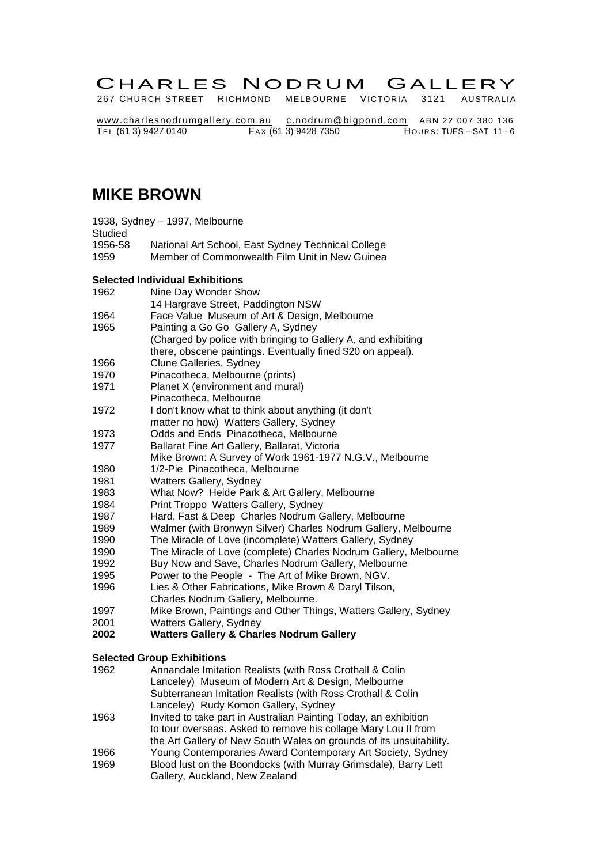# CHARLES NODRUM GALLERY

267 CHURCH STREET RICHMOND MELBOURNE VICTORIA 3121 AUSTRALIA

[www.charlesnodrumgallery.com.au](http://www.users.bigpond.com/c.nodrum/index.html) [c.nodrum@bigpond.com](mailto:c.nodrum@bigpond.com) ABN 22 007 380 136 TE L (61 3) 9427 0140 FA X (61 3) 9428 7350 HOU R S: TUES – SAT 11 - 6

## **MIKE BROWN**

|         | 1938, Sydney - 1997, Melbourne                     |
|---------|----------------------------------------------------|
| Studied |                                                    |
| 1956-58 | National Art School, East Sydney Technical College |
| 1959    | Member of Commonwealth Film Unit in New Guinea     |

#### **Selected Individual Exhibitions**

|      | <b>Selected Individual Exhibitions</b>                                                                                       |
|------|------------------------------------------------------------------------------------------------------------------------------|
| 1962 | Nine Day Wonder Show                                                                                                         |
|      | 14 Hargrave Street, Paddington NSW                                                                                           |
| 1964 | Face Value Museum of Art & Design, Melbourne                                                                                 |
| 1965 | Painting a Go Go Gallery A, Sydney                                                                                           |
|      | (Charged by police with bringing to Gallery A, and exhibiting<br>there, obscene paintings. Eventually fined \$20 on appeal). |
| 1966 | Clune Galleries, Sydney                                                                                                      |
| 1970 | Pinacotheca, Melbourne (prints)                                                                                              |
| 1971 | Planet X (environment and mural)                                                                                             |
|      | Pinacotheca, Melbourne                                                                                                       |
| 1972 | I don't know what to think about anything (it don't                                                                          |
|      | matter no how) Watters Gallery, Sydney                                                                                       |
| 1973 | Odds and Ends Pinacotheca, Melbourne                                                                                         |
| 1977 | Ballarat Fine Art Gallery, Ballarat, Victoria                                                                                |
|      | Mike Brown: A Survey of Work 1961-1977 N.G.V., Melbourne                                                                     |
| 1980 | 1/2-Pie Pinacotheca, Melbourne                                                                                               |
| 1981 | Watters Gallery, Sydney                                                                                                      |
| 1983 | What Now? Heide Park & Art Gallery, Melbourne                                                                                |
| 1984 | Print Troppo Watters Gallery, Sydney                                                                                         |
| 1987 | Hard, Fast & Deep Charles Nodrum Gallery, Melbourne                                                                          |
| 1989 | Walmer (with Bronwyn Silver) Charles Nodrum Gallery, Melbourne                                                               |
| 1990 | The Miracle of Love (incomplete) Watters Gallery, Sydney                                                                     |
| 1990 | The Miracle of Love (complete) Charles Nodrum Gallery, Melbourne                                                             |
| 1992 | Buy Now and Save, Charles Nodrum Gallery, Melbourne                                                                          |
| 1995 | Power to the People - The Art of Mike Brown, NGV.                                                                            |
| 1996 | Lies & Other Fabrications, Mike Brown & Daryl Tilson,                                                                        |
|      | Charles Nodrum Gallery, Melbourne.                                                                                           |
| 1997 | Mike Brown, Paintings and Other Things, Watters Gallery, Sydney                                                              |
| 2001 | Watters Gallery, Sydney                                                                                                      |
|      |                                                                                                                              |

**2002 Watters Gallery & Charles Nodrum Gallery**

## **Selected Group Exhibitions**

| 1962 | Annandale Imitation Realists (with Ross Crothall & Colin            |
|------|---------------------------------------------------------------------|
|      | Lanceley) Museum of Modern Art & Design, Melbourne                  |
|      | Subterranean Imitation Realists (with Ross Crothall & Colin         |
|      | Lanceley) Rudy Komon Gallery, Sydney                                |
| 1963 | Invited to take part in Australian Painting Today, an exhibition    |
|      | to tour overseas. Asked to remove his collage Mary Lou II from      |
|      | the Art Gallery of New South Wales on grounds of its unsuitability. |
| 1966 | Young Contemporaries Award Contemporary Art Society, Sydney         |
| 1969 | Blood lust on the Boondocks (with Murray Grimsdale), Barry Lett     |
|      | Gallery, Auckland, New Zealand                                      |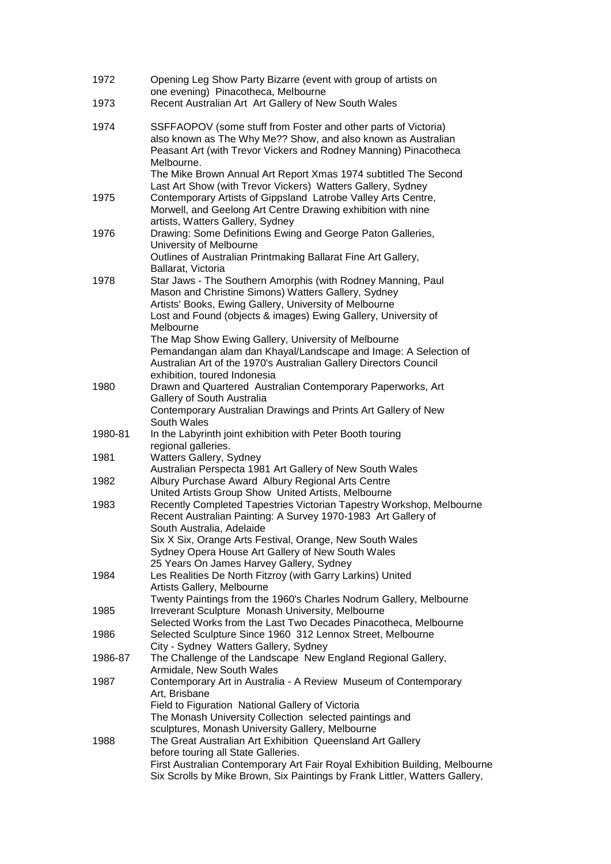| 1972    | Opening Leg Show Party Bizarre (event with group of artists on<br>one evening) Pinacotheca, Melbourne                                                                                                             |
|---------|-------------------------------------------------------------------------------------------------------------------------------------------------------------------------------------------------------------------|
| 1973    | Recent Australian Art Art Gallery of New South Wales                                                                                                                                                              |
| 1974    | SSFFAOPOV (some stuff from Foster and other parts of Victoria)<br>also known as The Why Me?? Show, and also known as Australian<br>Peasant Art (with Trevor Vickers and Rodney Manning) Pinacotheca<br>Melbourne. |
|         | The Mike Brown Annual Art Report Xmas 1974 subtitled The Second<br>Last Art Show (with Trevor Vickers) Watters Gallery, Sydney                                                                                    |
| 1975    | Contemporary Artists of Gippsland Latrobe Valley Arts Centre,<br>Morwell, and Geelong Art Centre Drawing exhibition with nine<br>artists, Watters Gallery, Sydney                                                 |
| 1976    | Drawing: Some Definitions Ewing and George Paton Galleries,<br>University of Melbourne                                                                                                                            |
|         | Outlines of Australian Printmaking Ballarat Fine Art Gallery,<br>Ballarat, Victoria                                                                                                                               |
| 1978    | Star Jaws - The Southern Amorphis (with Rodney Manning, Paul<br>Mason and Christine Simons) Watters Gallery, Sydney<br>Artists' Books, Ewing Gallery, University of Melbourne                                     |
|         | Lost and Found (objects & images) Ewing Gallery, University of<br>Melbourne                                                                                                                                       |
|         | The Map Show Ewing Gallery, University of Melbourne<br>Pemandangan alam dan Khayal/Landscape and Image: A Selection of<br>Australian Art of the 1970's Australian Gallery Directors Council                       |
| 1980    | exhibition, toured Indonesia<br>Drawn and Quartered Australian Contemporary Paperworks, Art                                                                                                                       |
|         | Gallery of South Australia<br>Contemporary Australian Drawings and Prints Art Gallery of New<br>South Wales                                                                                                       |
| 1980-81 | In the Labyrinth joint exhibition with Peter Booth touring                                                                                                                                                        |
| 1981    | regional galleries.<br>Watters Gallery, Sydney                                                                                                                                                                    |
| 1982    | Australian Perspecta 1981 Art Gallery of New South Wales<br>Albury Purchase Award Albury Regional Arts Centre<br>United Artists Group Show United Artists, Melbourne                                              |
| 1983    | Recently Completed Tapestries Victorian Tapestry Workshop, Melbourne<br>Recent Australian Painting: A Survey 1970-1983 Art Gallery of<br>South Australia, Adelaide                                                |
|         | Six X Six, Orange Arts Festival, Orange, New South Wales<br>Sydney Opera House Art Gallery of New South Wales<br>25 Years On James Harvey Gallery, Sydney                                                         |
| 1984    | Les Realities De North Fitzroy (with Garry Larkins) United<br>Artists Gallery, Melbourne                                                                                                                          |
| 1985    | Twenty Paintings from the 1960's Charles Nodrum Gallery, Melbourne<br>Irreverant Sculpture Monash University, Melbourne<br>Selected Works from the Last Two Decades Pinacotheca, Melbourne                        |
| 1986    | Selected Sculpture Since 1960 312 Lennox Street, Melbourne                                                                                                                                                        |
| 1986-87 | City - Sydney Watters Gallery, Sydney<br>The Challenge of the Landscape New England Regional Gallery,                                                                                                             |
| 1987    | Armidale, New South Wales<br>Contemporary Art in Australia - A Review Museum of Contemporary<br>Art, Brisbane<br>Field to Figuration National Gallery of Victoria                                                 |
|         | The Monash University Collection selected paintings and                                                                                                                                                           |
| 1988    | sculptures, Monash University Gallery, Melbourne<br>The Great Australian Art Exhibition Queensland Art Gallery                                                                                                    |
|         | before touring all State Galleries.<br>First Australian Contemporary Art Fair Royal Exhibition Building, Melbourne<br>Six Scrolls by Mike Brown, Six Paintings by Frank Littler, Watters Gallery,                 |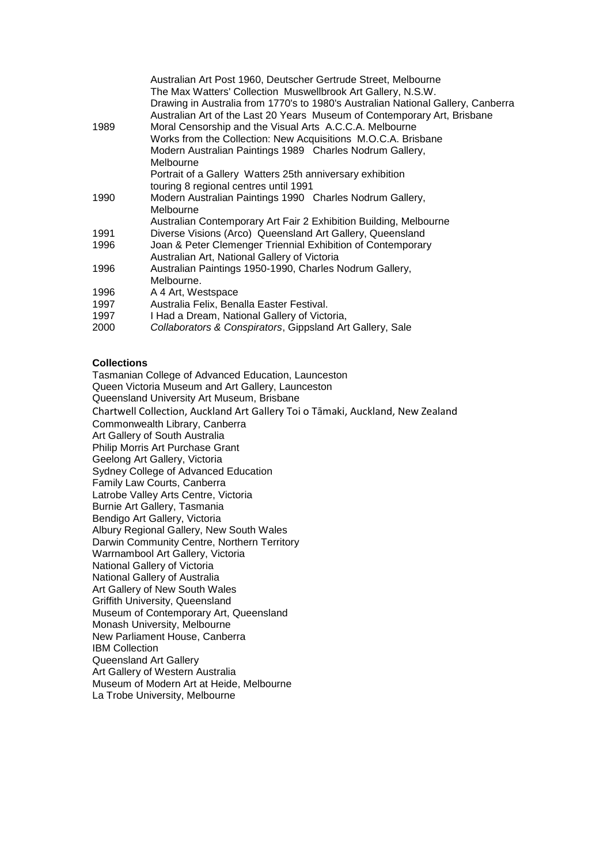|      | Australian Art Post 1960, Deutscher Gertrude Street, Melbourne<br>The Max Watters' Collection Muswellbrook Art Gallery, N.S.W.<br>Drawing in Australia from 1770's to 1980's Australian National Gallery, Canberra<br>Australian Art of the Last 20 Years Museum of Contemporary Art, Brisbane |
|------|------------------------------------------------------------------------------------------------------------------------------------------------------------------------------------------------------------------------------------------------------------------------------------------------|
| 1989 | Moral Censorship and the Visual Arts A.C.C.A. Melbourne                                                                                                                                                                                                                                        |
|      | Works from the Collection: New Acquisitions M.O.C.A. Brisbane                                                                                                                                                                                                                                  |
|      | Modern Australian Paintings 1989 Charles Nodrum Gallery,<br>Melbourne                                                                                                                                                                                                                          |
|      | Portrait of a Gallery Watters 25th anniversary exhibition                                                                                                                                                                                                                                      |
|      | touring 8 regional centres until 1991                                                                                                                                                                                                                                                          |
| 1990 | Modern Australian Paintings 1990 Charles Nodrum Gallery,                                                                                                                                                                                                                                       |
|      | Melbourne                                                                                                                                                                                                                                                                                      |
|      | Australian Contemporary Art Fair 2 Exhibition Building, Melbourne                                                                                                                                                                                                                              |
| 1991 | Diverse Visions (Arco) Queensland Art Gallery, Queensland                                                                                                                                                                                                                                      |
| 1996 | Joan & Peter Clemenger Triennial Exhibition of Contemporary                                                                                                                                                                                                                                    |
|      | Australian Art, National Gallery of Victoria                                                                                                                                                                                                                                                   |
| 1996 | Australian Paintings 1950-1990, Charles Nodrum Gallery,                                                                                                                                                                                                                                        |
|      | Melbourne.                                                                                                                                                                                                                                                                                     |
| 1996 | A 4 Art, Westspace                                                                                                                                                                                                                                                                             |
| 1997 | Australia Felix, Benalla Easter Festival.                                                                                                                                                                                                                                                      |
| 1997 | I Had a Dream, National Gallery of Victoria,                                                                                                                                                                                                                                                   |
| 2000 | Collaborators & Conspirators, Gippsland Art Gallery, Sale                                                                                                                                                                                                                                      |
|      |                                                                                                                                                                                                                                                                                                |

#### **Collections**

Tasmanian College of Advanced Education, Launceston Queen Victoria Museum and Art Gallery, Launceston Queensland University Art Museum, Brisbane Chartwell Collection, Auckland Art Gallery Toi o Tāmaki, Auckland, New Zealand Commonwealth Library, Canberra Art Gallery of South Australia Philip Morris Art Purchase Grant Geelong Art Gallery, Victoria Sydney College of Advanced Education Family Law Courts, Canberra Latrobe Valley Arts Centre, Victoria Burnie Art Gallery, Tasmania Bendigo Art Gallery, Victoria Albury Regional Gallery, New South Wales Darwin Community Centre, Northern Territory Warrnambool Art Gallery, Victoria National Gallery of Victoria National Gallery of Australia Art Gallery of New South Wales Griffith University, Queensland Museum of Contemporary Art, Queensland Monash University, Melbourne New Parliament House, Canberra IBM Collection Queensland Art Gallery Art Gallery of Western Australia Museum of Modern Art at Heide, Melbourne La Trobe University, Melbourne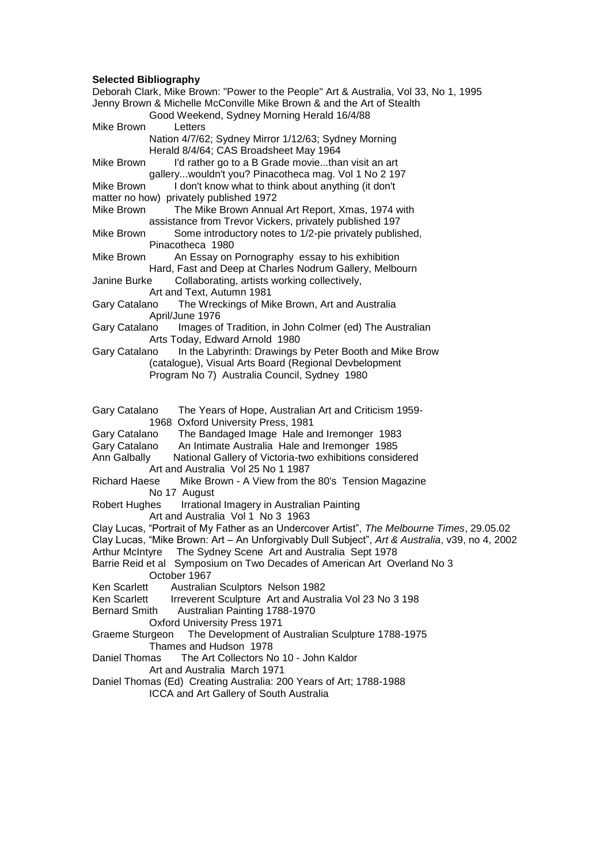### **Selected Bibliography**

| Deborah Clark, Mike Brown: "Power to the People" Art & Australia, Vol 33, No 1, 1995<br>Jenny Brown & Michelle McConville Mike Brown & and the Art of Stealth<br>Good Weekend, Sydney Morning Herald 16/4/88                                                                                                                                                   |
|----------------------------------------------------------------------------------------------------------------------------------------------------------------------------------------------------------------------------------------------------------------------------------------------------------------------------------------------------------------|
| Mike Brown<br>Letters                                                                                                                                                                                                                                                                                                                                          |
| Nation 4/7/62; Sydney Mirror 1/12/63; Sydney Morning                                                                                                                                                                                                                                                                                                           |
| Herald 8/4/64; CAS Broadsheet May 1964                                                                                                                                                                                                                                                                                                                         |
| I'd rather go to a B Grade moviethan visit an art<br>Mike Brown                                                                                                                                                                                                                                                                                                |
| gallerywouldn't you? Pinacotheca mag. Vol 1 No 2 197                                                                                                                                                                                                                                                                                                           |
| Mike Brown<br>I don't know what to think about anything (it don't                                                                                                                                                                                                                                                                                              |
| matter no how) privately published 1972                                                                                                                                                                                                                                                                                                                        |
| The Mike Brown Annual Art Report, Xmas, 1974 with<br>Mike Brown                                                                                                                                                                                                                                                                                                |
| assistance from Trevor Vickers, privately published 197                                                                                                                                                                                                                                                                                                        |
| Some introductory notes to 1/2-pie privately published,<br>Mike Brown                                                                                                                                                                                                                                                                                          |
| Pinacotheca 1980                                                                                                                                                                                                                                                                                                                                               |
| An Essay on Pornography essay to his exhibition<br>Mike Brown                                                                                                                                                                                                                                                                                                  |
| Hard, Fast and Deep at Charles Nodrum Gallery, Melbourn                                                                                                                                                                                                                                                                                                        |
| Collaborating, artists working collectively,<br>Janine Burke                                                                                                                                                                                                                                                                                                   |
| Art and Text, Autumn 1981                                                                                                                                                                                                                                                                                                                                      |
| The Wreckings of Mike Brown, Art and Australia<br>Gary Catalano                                                                                                                                                                                                                                                                                                |
| April/June 1976                                                                                                                                                                                                                                                                                                                                                |
| Images of Tradition, in John Colmer (ed) The Australian<br>Gary Catalano                                                                                                                                                                                                                                                                                       |
| Arts Today, Edward Arnold 1980                                                                                                                                                                                                                                                                                                                                 |
| In the Labyrinth: Drawings by Peter Booth and Mike Brow<br>Gary Catalano                                                                                                                                                                                                                                                                                       |
| (catalogue), Visual Arts Board (Regional Devbelopment                                                                                                                                                                                                                                                                                                          |
| Program No 7) Australia Council, Sydney 1980                                                                                                                                                                                                                                                                                                                   |
| The Years of Hope, Australian Art and Criticism 1959-<br>Gary Catalano<br>1968 Oxford University Press, 1981<br>The Bandaged Image Hale and Iremonger 1983<br>Gary Catalano<br>Gary Catalano<br>An Intimate Australia Hale and Iremonger 1985<br>Ann Galbally<br>National Gallery of Victoria-two exhibitions considered<br>Art and Australia Vol 25 No 1 1987 |
| Mike Brown - A View from the 80's Tension Magazine<br>Richard Haese<br>No 17 August                                                                                                                                                                                                                                                                            |
| Irrational Imagery in Australian Painting<br>Robert Hughes                                                                                                                                                                                                                                                                                                     |
| Art and Australia Vol 1 No 3 1963<br>Clay Lucas, "Portrait of My Father as an Undercover Artist", The Melbourne Times, 29.05.02                                                                                                                                                                                                                                |
| Clay Lucas, "Mike Brown: Art - An Unforgivably Dull Subject", Art & Australia, v39, no 4, 2002                                                                                                                                                                                                                                                                 |
| Arthur McIntyre The Sydney Scene Art and Australia Sept 1978                                                                                                                                                                                                                                                                                                   |
|                                                                                                                                                                                                                                                                                                                                                                |
|                                                                                                                                                                                                                                                                                                                                                                |
| Barrie Reid et al Symposium on Two Decades of American Art Overland No 3                                                                                                                                                                                                                                                                                       |
| October 1967                                                                                                                                                                                                                                                                                                                                                   |
| Ken Scarlett<br>Australian Sculptors Nelson 1982                                                                                                                                                                                                                                                                                                               |
| Irreverent Sculpture Art and Australia Vol 23 No 3 198<br>Ken Scarlett                                                                                                                                                                                                                                                                                         |
| <b>Bernard Smith</b><br>Australian Painting 1788-1970                                                                                                                                                                                                                                                                                                          |
| <b>Oxford University Press 1971</b>                                                                                                                                                                                                                                                                                                                            |
| Graeme Sturgeon The Development of Australian Sculpture 1788-1975<br>Thames and Hudson 1978                                                                                                                                                                                                                                                                    |
| The Art Collectors No 10 - John Kaldor<br>Daniel Thomas                                                                                                                                                                                                                                                                                                        |
| Art and Australia March 1971                                                                                                                                                                                                                                                                                                                                   |
| Daniel Thomas (Ed) Creating Australia: 200 Years of Art; 1788-1988                                                                                                                                                                                                                                                                                             |
| ICCA and Art Gallery of South Australia                                                                                                                                                                                                                                                                                                                        |